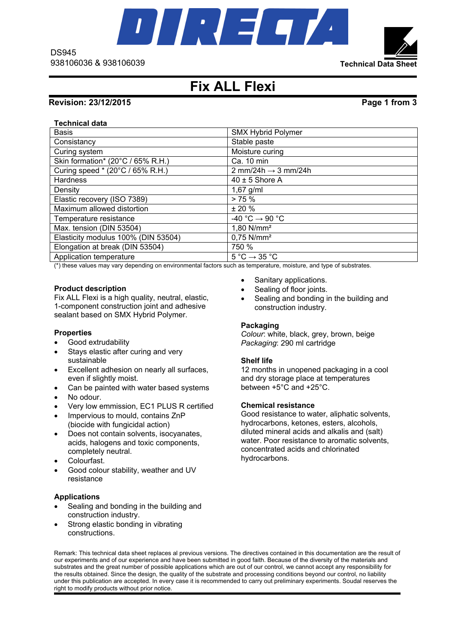

**Technical Data Sheet**

# **Fix ALL Flexi**

## **Revision: 23/12/2015 Page 1 from 3**

### **Technical data**

DS945

| <b>Basis</b>                        | <b>SMX Hybrid Polymer</b>                   |
|-------------------------------------|---------------------------------------------|
| Consistancy                         | Stable paste                                |
| Curing system                       | Moisture curing                             |
| Skin formation* (20°C / 65% R.H.)   | Ca. 10 min                                  |
| Curing speed * (20°C / 65% R.H.)    | 2 mm/24h $\rightarrow$ 3 mm/24h             |
| <b>Hardness</b>                     | $40 \pm 5$ Shore A                          |
| Density                             | $1,67$ g/ml                                 |
| Elastic recovery (ISO 7389)         | > 75%                                       |
| Maximum allowed distortion          | $± 20 \%$                                   |
| Temperature resistance              | $-40 °C \rightarrow 90 °C$                  |
| Max. tension (DIN 53504)            | 1,80 N/mm <sup>2</sup>                      |
| Elasticity modulus 100% (DIN 53504) | $0.75$ N/mm <sup>2</sup>                    |
| Elongation at break (DIN 53504)     | 750 %                                       |
| Application temperature             | $5^{\circ}$ C $\rightarrow$ 35 $^{\circ}$ C |

(\*) these values may vary depending on environmental factors such as temperature, moisture, and type of substrates.

### **Product description**

Fix ALL Flexi is a high quality, neutral, elastic, 1-component construction joint and adhesive sealant based on SMX Hybrid Polymer.

#### **Properties**

- Good extrudability
- Stays elastic after curing and very sustainable
- Excellent adhesion on nearly all surfaces, even if slightly moist.
- Can be painted with water based systems
- No odour.
- Very low emmission, EC1 PLUS R certified
- Impervious to mould, contains ZnP (biocide with fungicidal action)
- Does not contain solvents, isocyanates, acids, halogens and toxic components, completely neutral.
- Colourfast.
- Good colour stability, weather and UV resistance

#### **Applications**

- Sealing and bonding in the building and construction industry.
- Strong elastic bonding in vibrating constructions.
- Sanitary applications.
- Sealing of floor joints.
- Sealing and bonding in the building and construction industry.

#### **Packaging**

*Colour*: white, black, grey, brown, beige *Packaging*: 290 ml cartridge

#### **Shelf life**

12 months in unopened packaging in a cool and dry storage place at temperatures between +5°C and +25°C.

#### **Chemical resistance**

Good resistance to water, aliphatic solvents, hydrocarbons, ketones, esters, alcohols, diluted mineral acids and alkalis and (salt) water. Poor resistance to aromatic solvents. concentrated acids and chlorinated hydrocarbons.

Remark: This technical data sheet replaces al previous versions. The directives contained in this documentation are the result of our experiments and of our experience and have been submitted in good faith. Because of the diversity of the materials and substrates and the great number of possible applications which are out of our control, we cannot accept any responsibility for the results obtained. Since the design, the quality of the substrate and processing conditions beyond our control, no liability under this publication are accepted. In every case it is recommended to carry out preliminary experiments. Soudal reserves the right to modify products without prior notice.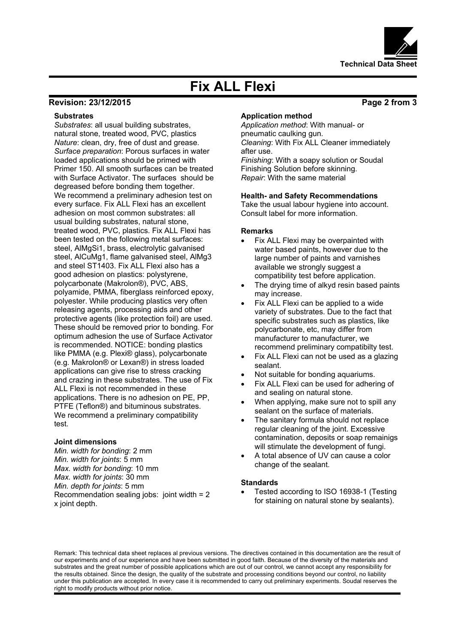

# **Fix ALL Flexi**

## **Revision: 23/12/2015 Page 2 from 3**

#### **Substrates**

*Substrates*: all usual building substrates, natural stone, treated wood, PVC, plastics *Nature*: clean, dry, free of dust and grease. *Surface preparation*: Porous surfaces in water loaded applications should be primed with Primer 150. All smooth surfaces can be treated with Surface Activator. The surfaces should be degreased before bonding them together. We recommend a preliminary adhesion test on every surface. Fix ALL Flexi has an excellent adhesion on most common substrates: all usual building substrates, natural stone, treated wood, PVC, plastics. Fix ALL Flexi has been tested on the following metal surfaces: steel, AlMgSi1, brass, electrolytic galvanised steel, AlCuMg1, flame galvanised steel, AlMg3 and steel ST1403. Fix ALL Flexi also has a good adhesion on plastics: polystyrene, polycarbonate (Makrolon®), PVC, ABS, polyamide, PMMA, fiberglass reinforced epoxy, polyester. While producing plastics very often releasing agents, processing aids and other protective agents (like protection foil) are used. These should be removed prior to bonding. For optimum adhesion the use of Surface Activator is recommended. NOTICE: bonding plastics like PMMA (e.g. Plexi® glass), polycarbonate (e.g. Makrolon® or Lexan®) in stress loaded applications can give rise to stress cracking and crazing in these substrates. The use of Fix ALL Flexi is not recommended in these applications. There is no adhesion on PE, PP, PTFE (Teflon®) and bituminous substrates. We recommend a preliminary compatibility test.

#### **Joint dimensions**

*Min. width for bonding*: 2 mm *Min. width for joints*: 5 mm *Max. width for bonding*: 10 mm *Max. width for joints*: 30 mm *Min. depth for joints*: 5 mm Recommendation sealing jobs: joint width = 2 x joint depth.

#### **Application method**

*Application method*: With manual- or pneumatic caulking gun. *Cleaning*: With Fix ALL Cleaner immediately after use. *Finishing*: With a soapy solution or Soudal

Finishing Solution before skinning. *Repair*: With the same material

#### **Health- and Safety Recommendations**

Take the usual labour hygiene into account. Consult label for more information.

#### **Remarks**

- Fix ALL Flexi may be overpainted with water based paints, however due to the large number of paints and varnishes available we strongly suggest a compatibility test before application.
- The drying time of alkyd resin based paints may increase.
- Fix ALL Flexi can be applied to a wide variety of substrates. Due to the fact that specific substrates such as plastics, like polycarbonate, etc, may differ from manufacturer to manufacturer, we recommend preliminary compatibilty test.
- Fix ALL Flexi can not be used as a glazing sealant.
- Not suitable for bonding aquariums.
- Fix ALL Flexi can be used for adhering of and sealing on natural stone.
- When applying, make sure not to spill any sealant on the surface of materials.
- The sanitary formula should not replace regular cleaning of the joint. Excessive contamination, deposits or soap remainigs will stimulate the development of fungi.
- A total absence of UV can cause a color change of the sealant.

#### **Standards**

 Tested according to ISO 16938-1 (Testing for staining on natural stone by sealants).

Remark: This technical data sheet replaces al previous versions. The directives contained in this documentation are the result of our experiments and of our experience and have been submitted in good faith. Because of the diversity of the materials and substrates and the great number of possible applications which are out of our control, we cannot accept any responsibility for the results obtained. Since the design, the quality of the substrate and processing conditions beyond our control, no liability under this publication are accepted. In every case it is recommended to carry out preliminary experiments. Soudal reserves the right to modify products without prior notice.